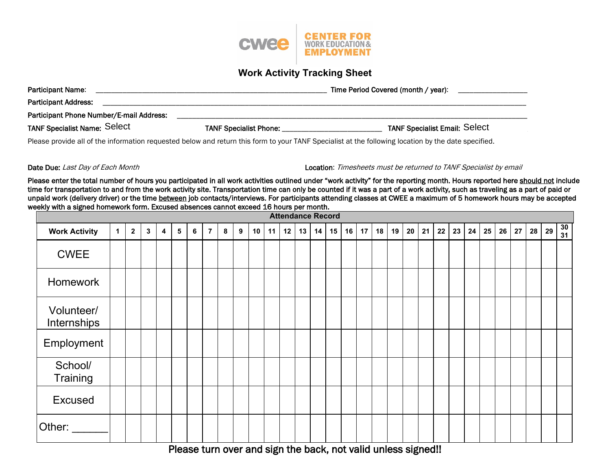

## **Work Activity Tracking Sheet**

| Participant Name:                        | Time Period Covered (month / year): |                                      |  |  |  |  |
|------------------------------------------|-------------------------------------|--------------------------------------|--|--|--|--|
| <b>Participant Address:</b>              |                                     |                                      |  |  |  |  |
| Participant Phone Number/E-mail Address: |                                     |                                      |  |  |  |  |
| TANF Specialist Name: Select             | <b>TANF Specialist Phone:</b>       | <b>TANF Specialist Email: Select</b> |  |  |  |  |

Please provide all of the information requested below and return this form to your TANF Specialist at the following location by the date specified.

Date Due: Last Day of Each Month Location: Timesheets must be returned to TANF Specialist by email

Please enter the total number of hours you participated in all work activities outlined under "work activity" for the reporting month. Hours reported here should not include time for transportation to and from the work activity site. Transportation time can only be counted if it was a part of a work activity, such as traveling as a part of paid or unpaid work (delivery driver) or the time between job contacts/interviews. For participants attending classes at CWEE a maximum of 5 homework hours may be accepted weekly with a signed homework form. Excused absences cannot exceed 16 hours per month.

| <b>Attendance Record</b>  |              |                         |             |   |                |   |                |   |   |    |    |    |    |    |    |    |    |                                           |    |    |    |         |    |    |    |    |    |    |    |                 |
|---------------------------|--------------|-------------------------|-------------|---|----------------|---|----------------|---|---|----|----|----|----|----|----|----|----|-------------------------------------------|----|----|----|---------|----|----|----|----|----|----|----|-----------------|
| <b>Work Activity</b>      | $\mathbf{1}$ | $\overline{\mathbf{2}}$ | $\mathbf 3$ | 4 | 5 <sup>5</sup> | 6 | $\overline{7}$ | 8 | 9 | 10 | 11 | 12 | 13 | 14 | 15 | 16 | 17 | 18                                        | 19 | 20 | 21 | 22      | 23 | 24 | 25 | 26 | 27 | 28 | 29 | $\frac{30}{31}$ |
| <b>CWEE</b>               |              |                         |             |   |                |   |                |   |   |    |    |    |    |    |    |    |    |                                           |    |    |    |         |    |    |    |    |    |    |    |                 |
| Homework                  |              |                         |             |   |                |   |                |   |   |    |    |    |    |    |    |    |    |                                           |    |    |    |         |    |    |    |    |    |    |    |                 |
| Volunteer/<br>Internships |              |                         |             |   |                |   |                |   |   |    |    |    |    |    |    |    |    |                                           |    |    |    |         |    |    |    |    |    |    |    |                 |
| Employment                |              |                         |             |   |                |   |                |   |   |    |    |    |    |    |    |    |    |                                           |    |    |    |         |    |    |    |    |    |    |    |                 |
| School/<br>Training       |              |                         |             |   |                |   |                |   |   |    |    |    |    |    |    |    |    |                                           |    |    |    |         |    |    |    |    |    |    |    |                 |
| <b>Excused</b>            |              |                         |             |   |                |   |                |   |   |    |    |    |    |    |    |    |    |                                           |    |    |    |         |    |    |    |    |    |    |    |                 |
| Other:                    |              |                         |             |   |                |   |                |   |   |    |    |    |    |    |    |    |    | $\sim$ $\sim$ $\sim$ $\sim$ $\sim$ $\sim$ |    |    |    | $- - -$ |    |    |    |    |    |    |    |                 |

Please turn over and sign the back, not valid unless signed!!